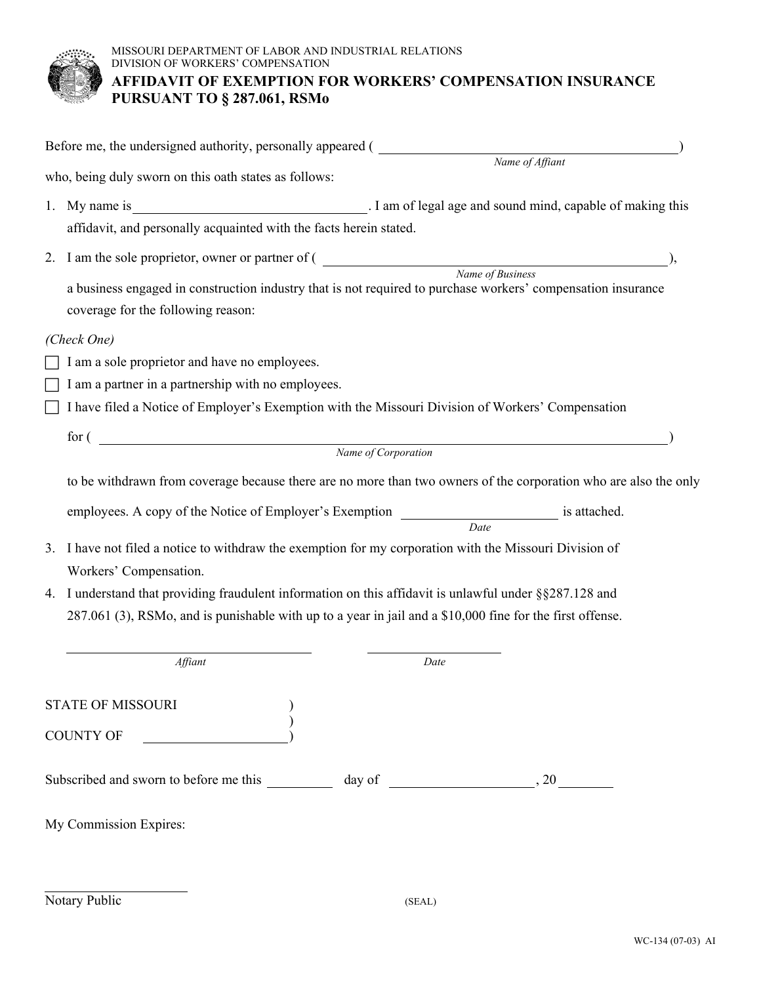

|                                                                                                                  | Before me, the undersigned authority, personally appeared (                                                                                                                                                                                 |                                                            |  |
|------------------------------------------------------------------------------------------------------------------|---------------------------------------------------------------------------------------------------------------------------------------------------------------------------------------------------------------------------------------------|------------------------------------------------------------|--|
|                                                                                                                  |                                                                                                                                                                                                                                             | Name of Affiant                                            |  |
|                                                                                                                  | who, being duly sworn on this oath states as follows:                                                                                                                                                                                       |                                                            |  |
| 1.                                                                                                               | My name is                                                                                                                                                                                                                                  | . I am of legal age and sound mind, capable of making this |  |
|                                                                                                                  | affidavit, and personally acquainted with the facts herein stated.                                                                                                                                                                          |                                                            |  |
|                                                                                                                  |                                                                                                                                                                                                                                             |                                                            |  |
|                                                                                                                  | 2. I am the sole proprietor, owner or partner of ( Name of Business  Name of Business<br>a business engaged in construction industry that is not required to purchase workers' compensation insurance<br>coverage for the following reason: |                                                            |  |
|                                                                                                                  | (Check One)                                                                                                                                                                                                                                 |                                                            |  |
|                                                                                                                  | I am a sole proprietor and have no employees.                                                                                                                                                                                               |                                                            |  |
|                                                                                                                  | I am a partner in a partnership with no employees.                                                                                                                                                                                          |                                                            |  |
|                                                                                                                  | I have filed a Notice of Employer's Exemption with the Missouri Division of Workers' Compensation                                                                                                                                           |                                                            |  |
|                                                                                                                  |                                                                                                                                                                                                                                             |                                                            |  |
| $\mbox{for (} \quad \quad \hspace{2.5cm} \mbox{Name of Corporation}$                                             |                                                                                                                                                                                                                                             |                                                            |  |
| to be withdrawn from coverage because there are no more than two owners of the corporation who are also the only |                                                                                                                                                                                                                                             |                                                            |  |
|                                                                                                                  | employees. A copy of the Notice of Employer's Exemption _________________________ is attached.                                                                                                                                              | Date                                                       |  |
| 3.                                                                                                               | I have not filed a notice to withdraw the exemption for my corporation with the Missouri Division of                                                                                                                                        |                                                            |  |
|                                                                                                                  | Workers' Compensation.                                                                                                                                                                                                                      |                                                            |  |
| 4.                                                                                                               | I understand that providing fraudulent information on this affidavit is unlawful under §§287.128 and                                                                                                                                        |                                                            |  |
|                                                                                                                  | 287.061 (3), RSMo, and is punishable with up to a year in jail and a \$10,000 fine for the first offense.                                                                                                                                   |                                                            |  |
|                                                                                                                  |                                                                                                                                                                                                                                             |                                                            |  |
|                                                                                                                  | Affiant                                                                                                                                                                                                                                     | Date                                                       |  |
|                                                                                                                  | STATE OF MISSOURI                                                                                                                                                                                                                           |                                                            |  |
|                                                                                                                  |                                                                                                                                                                                                                                             |                                                            |  |
|                                                                                                                  | COUNTY OF _______                                                                                                                                                                                                                           |                                                            |  |
|                                                                                                                  |                                                                                                                                                                                                                                             |                                                            |  |
|                                                                                                                  | My Commission Expires:                                                                                                                                                                                                                      |                                                            |  |
|                                                                                                                  |                                                                                                                                                                                                                                             |                                                            |  |